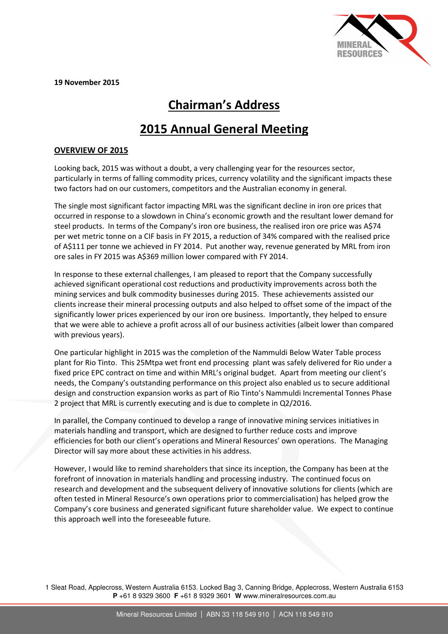

19 November 2015

# Chairman's Address

# 2015 Annual General Meeting

## OVERVIEW OF 2015

Looking back, 2015 was without a doubt, a very challenging year for the resources sector, particularly in terms of falling commodity prices, currency volatility and the significant impacts these two factors had on our customers, competitors and the Australian economy in general.

The single most significant factor impacting MRL was the significant decline in iron ore prices that occurred in response to a slowdown in China's economic growth and the resultant lower demand for steel products. In terms of the Company's iron ore business, the realised iron ore price was A\$74 per wet metric tonne on a CIF basis in FY 2015, a reduction of 34% compared with the realised price of A\$111 per tonne we achieved in FY 2014. Put another way, revenue generated by MRL from iron ore sales in FY 2015 was A\$369 million lower compared with FY 2014.

In response to these external challenges, I am pleased to report that the Company successfully achieved significant operational cost reductions and productivity improvements across both the mining services and bulk commodity businesses during 2015. These achievements assisted our clients increase their mineral processing outputs and also helped to offset some of the impact of the significantly lower prices experienced by our iron ore business. Importantly, they helped to ensure that we were able to achieve a profit across all of our business activities (albeit lower than compared with previous years).

One particular highlight in 2015 was the completion of the Nammuldi Below Water Table process plant for Rio Tinto. This 25Mtpa wet front end processing plant was safely delivered for Rio under a fixed price EPC contract on time and within MRL's original budget. Apart from meeting our client's needs, the Company's outstanding performance on this project also enabled us to secure additional design and construction expansion works as part of Rio Tinto's Nammuldi Incremental Tonnes Phase 2 project that MRL is currently executing and is due to complete in Q2/2016.

In parallel, the Company continued to develop a range of innovative mining services initiatives in materials handling and transport, which are designed to further reduce costs and improve efficiencies for both our client's operations and Mineral Resources' own operations. The Managing Director will say more about these activities in his address.

However, I would like to remind shareholders that since its inception, the Company has been at the forefront of innovation in materials handling and processing industry. The continued focus on research and development and the subsequent delivery of innovative solutions for clients (which are often tested in Mineral Resource's own operations prior to commercialisation) has helped grow the Company's core business and generated significant future shareholder value. We expect to continue this approach well into the foreseeable future.

1 Sleat Road, Applecross, Western Australia 6153. Locked Bag 3, Canning Bridge, Applecross, Western Australia 6153 **P** +61 8 9329 3600 **F** +61 8 9329 3601 **W** www.mineralresources.com.au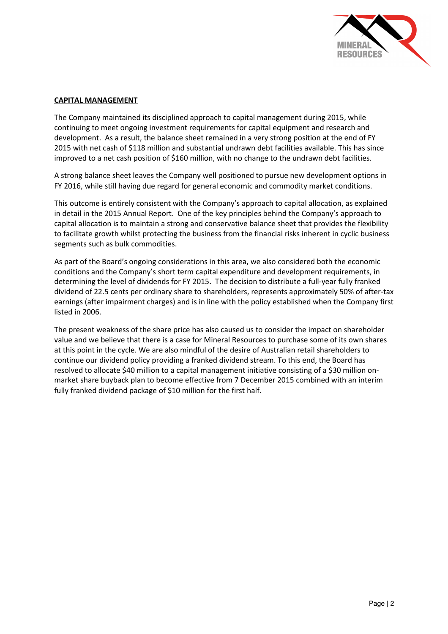

#### CAPITAL MANAGEMENT

The Company maintained its disciplined approach to capital management during 2015, while continuing to meet ongoing investment requirements for capital equipment and research and development. As a result, the balance sheet remained in a very strong position at the end of FY 2015 with net cash of \$118 million and substantial undrawn debt facilities available. This has since improved to a net cash position of \$160 million, with no change to the undrawn debt facilities.

A strong balance sheet leaves the Company well positioned to pursue new development options in FY 2016, while still having due regard for general economic and commodity market conditions.

This outcome is entirely consistent with the Company's approach to capital allocation, as explained in detail in the 2015 Annual Report. One of the key principles behind the Company's approach to capital allocation is to maintain a strong and conservative balance sheet that provides the flexibility to facilitate growth whilst protecting the business from the financial risks inherent in cyclic business segments such as bulk commodities.

As part of the Board's ongoing considerations in this area, we also considered both the economic conditions and the Company's short term capital expenditure and development requirements, in determining the level of dividends for FY 2015. The decision to distribute a full-year fully franked dividend of 22.5 cents per ordinary share to shareholders, represents approximately 50% of after-tax earnings (after impairment charges) and is in line with the policy established when the Company first listed in 2006.

The present weakness of the share price has also caused us to consider the impact on shareholder value and we believe that there is a case for Mineral Resources to purchase some of its own shares at this point in the cycle. We are also mindful of the desire of Australian retail shareholders to continue our dividend policy providing a franked dividend stream. To this end, the Board has resolved to allocate \$40 million to a capital management initiative consisting of a \$30 million onmarket share buyback plan to become effective from 7 December 2015 combined with an interim fully franked dividend package of \$10 million for the first half.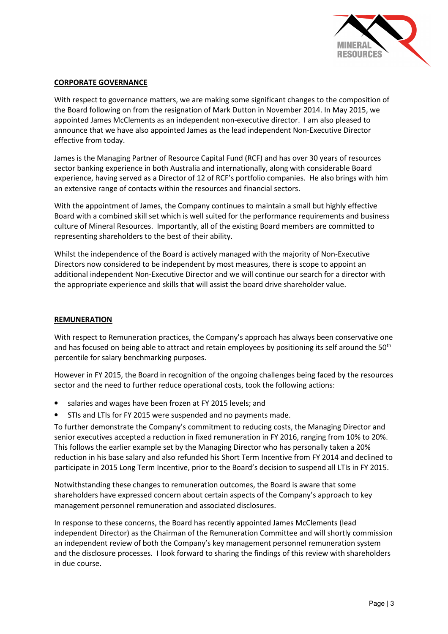

### CORPORATE GOVERNANCE

With respect to governance matters, we are making some significant changes to the composition of the Board following on from the resignation of Mark Dutton in November 2014. In May 2015, we appointed James McClements as an independent non-executive director. I am also pleased to announce that we have also appointed James as the lead independent Non-Executive Director effective from today.

James is the Managing Partner of Resource Capital Fund (RCF) and has over 30 years of resources sector banking experience in both Australia and internationally, along with considerable Board experience, having served as a Director of 12 of RCF's portfolio companies. He also brings with him an extensive range of contacts within the resources and financial sectors.

With the appointment of James, the Company continues to maintain a small but highly effective Board with a combined skill set which is well suited for the performance requirements and business culture of Mineral Resources. Importantly, all of the existing Board members are committed to representing shareholders to the best of their ability.

Whilst the independence of the Board is actively managed with the majority of Non-Executive Directors now considered to be independent by most measures, there is scope to appoint an additional independent Non-Executive Director and we will continue our search for a director with the appropriate experience and skills that will assist the board drive shareholder value.

#### REMUNERATION

With respect to Remuneration practices, the Company's approach has always been conservative one and has focused on being able to attract and retain employees by positioning its self around the 50<sup>th</sup> percentile for salary benchmarking purposes.

However in FY 2015, the Board in recognition of the ongoing challenges being faced by the resources sector and the need to further reduce operational costs, took the following actions:

- salaries and wages have been frozen at FY 2015 levels; and
- STIs and LTIs for FY 2015 were suspended and no payments made.

To further demonstrate the Company's commitment to reducing costs, the Managing Director and senior executives accepted a reduction in fixed remuneration in FY 2016, ranging from 10% to 20%. This follows the earlier example set by the Managing Director who has personally taken a 20% reduction in his base salary and also refunded his Short Term Incentive from FY 2014 and declined to participate in 2015 Long Term Incentive, prior to the Board's decision to suspend all LTIs in FY 2015.

Notwithstanding these changes to remuneration outcomes, the Board is aware that some shareholders have expressed concern about certain aspects of the Company's approach to key management personnel remuneration and associated disclosures.

In response to these concerns, the Board has recently appointed James McClements (lead independent Director) as the Chairman of the Remuneration Committee and will shortly commission an independent review of both the Company's key management personnel remuneration system and the disclosure processes. I look forward to sharing the findings of this review with shareholders in due course.